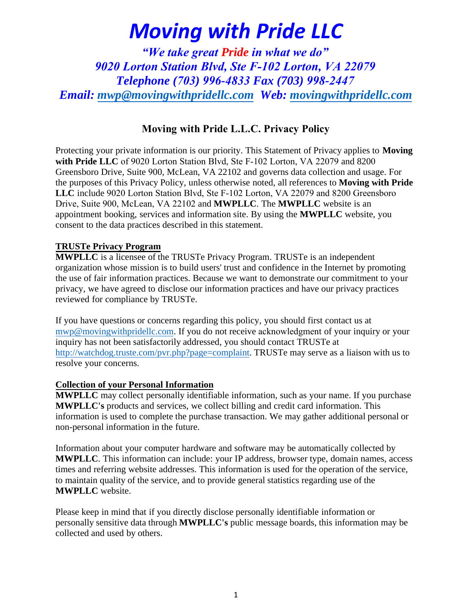*"We take great Pride in what we do" 9020 Lorton Station Blvd, Ste F-102 Lorton, VA 22079 Telephone (703) 996-4833 Fax (703) 998-2447 Email: [mwp@movingwithpridellc.com](mailto:mwp@movingwithpridellc.com) Web: [movingwithpridellc.com](http://movingwithpridellc.com/)*

### Moving with Pride L.L.C. Privacy Policy

Protecting your private information is our priority. This Statement of Privacy applies to **Moving with Pride LLC** of 9020 Lorton Station Blvd, Ste F-102 Lorton, VA 22079 and 8200 Greensboro Drive, Suite 900, McLean, VA 22102 and governs data collection and usage. For the purposes of this Privacy Policy, unless otherwise noted, all references to **Moving with Pride LLC** include 9020 Lorton Station Blvd, Ste F-102 Lorton, VA 22079 and 8200 Greensboro Drive, Suite 900, McLean, VA 22102 and **MWPLLC**. The **MWPLLC** website is an appointment booking, services and information site. By using the **MWPLLC** website, you consent to the data practices described in this statement.

#### **TRUSTe Privacy Program**

**MWPLLC** is a licensee of the TRUSTe Privacy Program. TRUSTe is an independent organization whose mission is to build users' trust and confidence in the Internet by promoting the use of fair information practices. Because we want to demonstrate our commitment to your privacy, we have agreed to disclose our information practices and have our privacy practices reviewed for compliance by TRUSTe.

[If you have questions or concern](mailto:mwp@movingwithpridellc.com)s regarding this policy, you should first contact us at mwp@movingwithpridellc.com. If you do not receive acknowledgment of your inquiry or your [inquiry has not been satisfactorily addressed, you sho](http://watchdog.truste.com/pvr.php?page=complaint)uld contact TRUSTe at http://watchdog.truste.com/pvr.php?page=complaint. TRUSTe may serve as a liaison with us to resolve your concerns.

#### **Collection of your Personal Information**

**MWPLLC** may collect personally identifiable information, such as your name. If you purchase **MWPLLC's** products and services, we collect billing and credit card information. This information is used to complete the purchase transaction. We may gather additional personal or non-personal information in the future.

Information about your computer hardware and software may be automatically collected by **MWPLLC**. This information can include: your IP address, browser type, domain names, access times and referring website addresses. This information is used for the operation of the service, to maintain quality of the service, and to provide general statistics regarding use of the **MWPLLC** website.

Please keep in mind that if you directly disclose personally identifiable information or personally sensitive data through **MWPLLC's** public message boards, this information may be collected and used by others.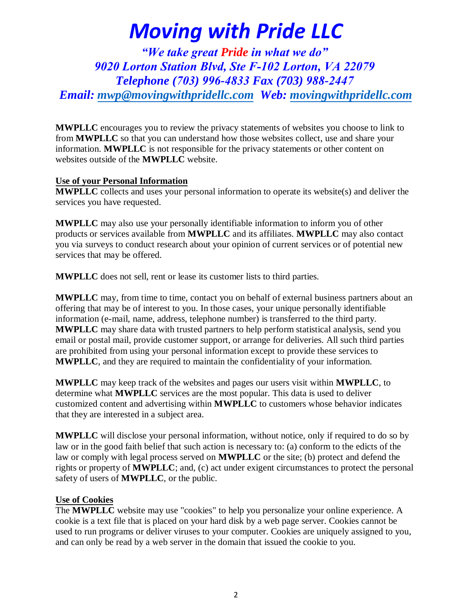*"We take great Pride in what we do" 9020 Lorton Station Blvd, Ste F-102 Lorton, VA 22079 Telephone (703) 996-4833 Fax (703) 988-2447 Email: [mwp@movingwithpridellc.com](mailto:mwp@movingwithpridellc.com) Web: [movingwithpridellc.com](http://movingwithpridellc.com/)*

**MWPLLC** encourages you to review the privacy statements of websites you choose to link to from **MWPLLC** so that you can understand how those websites collect, use and share your information. **MWPLLC** is not responsible for the privacy statements or other content on websites outside of the **MWPLLC** website.

#### **Use of your Personal Information**

**MWPLLC** collects and uses your personal information to operate its website(s) and deliver the services you have requested.

**MWPLLC** may also use your personally identifiable information to inform you of other products or services available from **MWPLLC** and its affiliates. **MWPLLC** may also contact you via surveys to conduct research about your opinion of current services or of potential new services that may be offered.

**MWPLLC** does not sell, rent or lease its customer lists to third parties.

**MWPLLC** may, from time to time, contact you on behalf of external business partners about an offering that may be of interest to you. In those cases, your unique personally identifiable information (e-mail, name, address, telephone number) is transferred to the third party. **MWPLLC** may share data with trusted partners to help perform statistical analysis, send you email or postal mail, provide customer support, or arrange for deliveries. All such third parties are prohibited from using your personal information except to provide these services to **MWPLLC**, and they are required to maintain the confidentiality of your information.

**MWPLLC** may keep track of the websites and pages our users visit within **MWPLLC**, to determine what **MWPLLC** services are the most popular. This data is used to deliver customized content and advertising within **MWPLLC** to customers whose behavior indicates that they are interested in a subject area.

**MWPLLC** will disclose your personal information, without notice, only if required to do so by law or in the good faith belief that such action is necessary to: (a) conform to the edicts of the law or comply with legal process served on **MWPLLC** or the site; (b) protect and defend the rights or property of **MWPLLC**; and, (c) act under exigent circumstances to protect the personal safety of users of **MWPLLC**, or the public.

#### **Use of Cookies**

The **MWPLLC** website may use "cookies" to help you personalize your online experience. A cookie is a text file that is placed on your hard disk by a web page server. Cookies cannot be used to run programs or deliver viruses to your computer. Cookies are uniquely assigned to you, and can only be read by a web server in the domain that issued the cookie to you.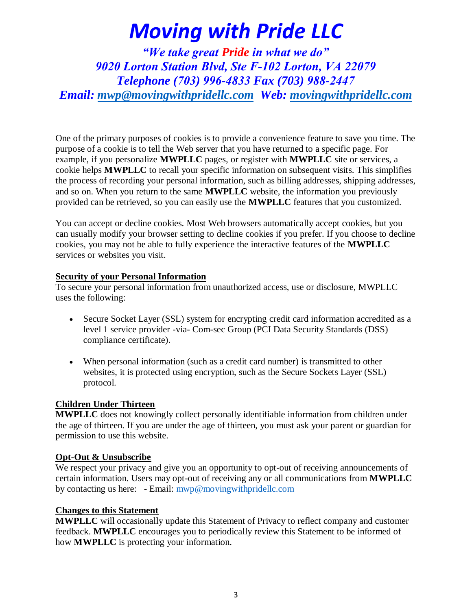*"We take great Pride in what we do" 9020 Lorton Station Blvd, Ste F-102 Lorton, VA 22079 Telephone (703) 996-4833 Fax (703) 988-2447 Email: [mwp@movingwithpridellc.com](mailto:mwp@movingwithpridellc.com) Web: [movingwithpridellc.com](http://movingwithpridellc.com/)*

One of the primary purposes of cookies is to provide a convenience feature to save you time. The purpose of a cookie is to tell the Web server that you have returned to a specific page. For example, if you personalize **MWPLLC** pages, or register with **MWPLLC** site or services, a cookie helps **MWPLLC** to recall your specific information on subsequent visits. This simplifies the process of recording your personal information, such as billing addresses, shipping addresses, and so on. When you return to the same **MWPLLC** website, the information you previously provided can be retrieved, so you can easily use the **MWPLLC** features that you customized.

You can accept or decline cookies. Most Web browsers automatically accept cookies, but you can usually modify your browser setting to decline cookies if you prefer. If you choose to decline cookies, you may not be able to fully experience the interactive features of the **MWPLLC**  services or websites you visit.

#### **Security of your Personal Information**

To secure your personal information from unauthorized access, use or disclosure, MWPLLC uses the following:

- Secure Socket Layer (SSL) system for encrypting credit card information accredited as a level 1 service provider -via- Com-sec Group (PCI Data Security Standards (DSS) compliance certificate).
- When personal information (such as a credit card number) is transmitted to other websites, it is protected using encryption, such as the Secure Sockets Layer (SSL) protocol.

#### **Children Under Thirteen**

**MWPLLC** does not knowingly collect personally identifiable information from children under the age of thirteen. If you are under the age of thirteen, you must ask your parent or guardian for permission to use this website.

#### **Opt-Out & Unsubscribe**

We respect your privacy and give you an opportunity to opt-out of receiving announcements of certain information. Users may opt-out of receiving any or all communications from **MWPLLC**  by contacting us here: - Email: [mwp@movingwithpridellc.com](mailto::mwp@movingwithpridellc.com)

#### **Changes to this Statement**

**MWPLLC** will occasionally update this Statement of Privacy to reflect company and customer feedback. **MWPLLC** encourages you to periodically review this Statement to be informed of how **MWPLLC** is protecting your information.